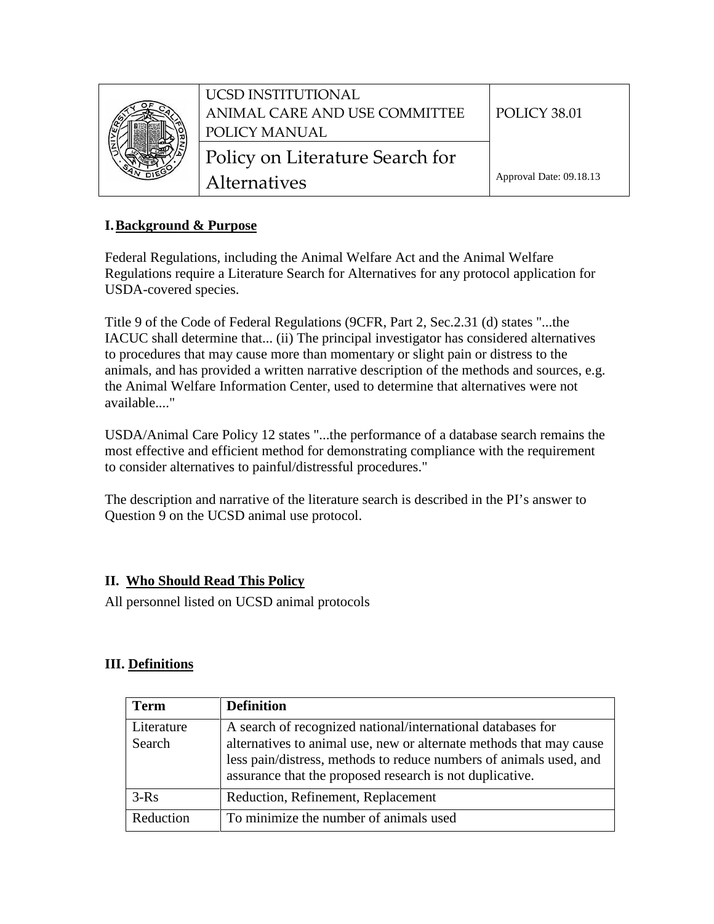

# **I.Background & Purpose**

Federal Regulations, including the Animal Welfare Act and the Animal Welfare Regulations require a Literature Search for Alternatives for any protocol application for USDA-covered species.

Title 9 of the Code of Federal Regulations (9CFR, Part 2, Sec.2.31 (d) states "...the IACUC shall determine that... (ii) The principal investigator has considered alternatives to procedures that may cause more than momentary or slight pain or distress to the animals, and has provided a written narrative description of the methods and sources, e.g. the Animal Welfare Information Center, used to determine that alternatives were not available...."

USDA/Animal Care Policy 12 states "...the performance of a database search remains the most effective and efficient method for demonstrating compliance with the requirement to consider alternatives to painful/distressful procedures."

The description and narrative of the literature search is described in the PI's answer to Question 9 on the UCSD animal use protocol.

# **II. Who Should Read This Policy**

All personnel listed on UCSD animal protocols

## **III. Definitions**

| <b>Term</b>          | <b>Definition</b>                                                                                                                                                                                                                                                    |
|----------------------|----------------------------------------------------------------------------------------------------------------------------------------------------------------------------------------------------------------------------------------------------------------------|
| Literature<br>Search | A search of recognized national/international databases for<br>alternatives to animal use, new or alternate methods that may cause<br>less pain/distress, methods to reduce numbers of animals used, and<br>assurance that the proposed research is not duplicative. |
| $3-Rs$               | Reduction, Refinement, Replacement                                                                                                                                                                                                                                   |
| Reduction            | To minimize the number of animals used                                                                                                                                                                                                                               |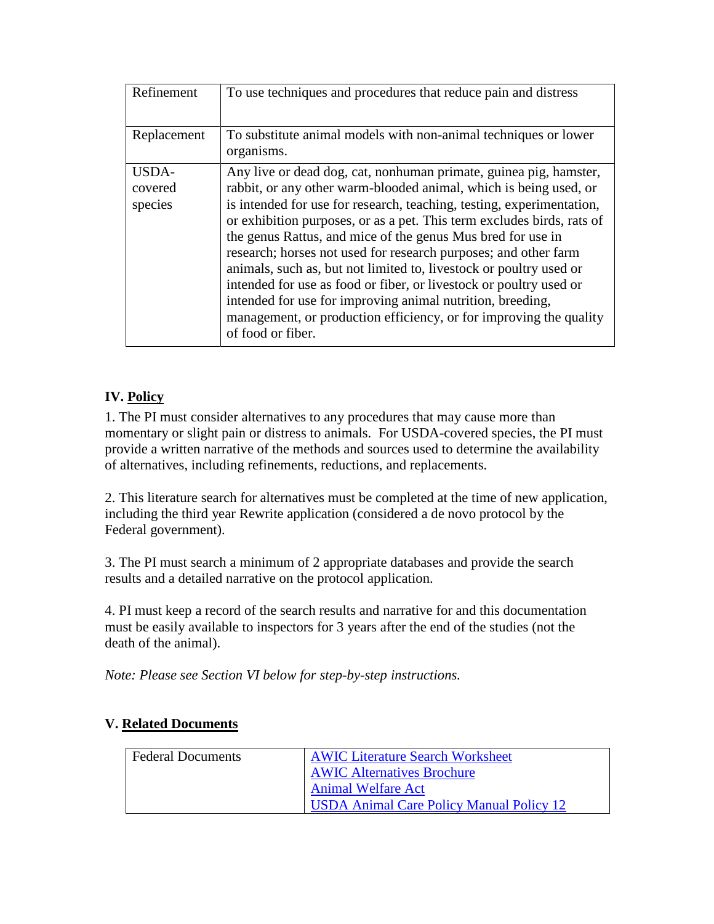| Refinement                  | To use techniques and procedures that reduce pain and distress                                                                                                                                                                                                                                                                                                                                                                                                                                                                                                                                                                                                                                                                   |
|-----------------------------|----------------------------------------------------------------------------------------------------------------------------------------------------------------------------------------------------------------------------------------------------------------------------------------------------------------------------------------------------------------------------------------------------------------------------------------------------------------------------------------------------------------------------------------------------------------------------------------------------------------------------------------------------------------------------------------------------------------------------------|
| Replacement                 | To substitute animal models with non-animal techniques or lower<br>organisms.                                                                                                                                                                                                                                                                                                                                                                                                                                                                                                                                                                                                                                                    |
| USDA-<br>covered<br>species | Any live or dead dog, cat, nonhuman primate, guinea pig, hamster,<br>rabbit, or any other warm-blooded animal, which is being used, or<br>is intended for use for research, teaching, testing, experimentation,<br>or exhibition purposes, or as a pet. This term excludes birds, rats of<br>the genus Rattus, and mice of the genus Mus bred for use in<br>research; horses not used for research purposes; and other farm<br>animals, such as, but not limited to, livestock or poultry used or<br>intended for use as food or fiber, or livestock or poultry used or<br>intended for use for improving animal nutrition, breeding,<br>management, or production efficiency, or for improving the quality<br>of food or fiber. |

# **IV. Policy**

1. The PI must consider alternatives to any procedures that may cause more than momentary or slight pain or distress to animals. For USDA-covered species, the PI must provide a written narrative of the methods and sources used to determine the availability of alternatives, including refinements, reductions, and replacements.

2. This literature search for alternatives must be completed at the time of new application, including the third year Rewrite application (considered a de novo protocol by the Federal government).

3. The PI must search a minimum of 2 appropriate databases and provide the search results and a detailed narrative on the protocol application.

4. PI must keep a record of the search results and narrative for and this documentation must be easily available to inspectors for 3 years after the end of the studies (not the death of the animal).

*Note: Please see Section VI below for step-by-step instructions.*

| <b>Federal Documents</b> | <b>AWIC Literature Search Worksheet</b>  |
|--------------------------|------------------------------------------|
|                          | <b>AWIC Alternatives Brochure</b>        |
|                          | <b>Animal Welfare Act</b>                |
|                          | USDA Animal Care Policy Manual Policy 12 |

## **V. Related Documents**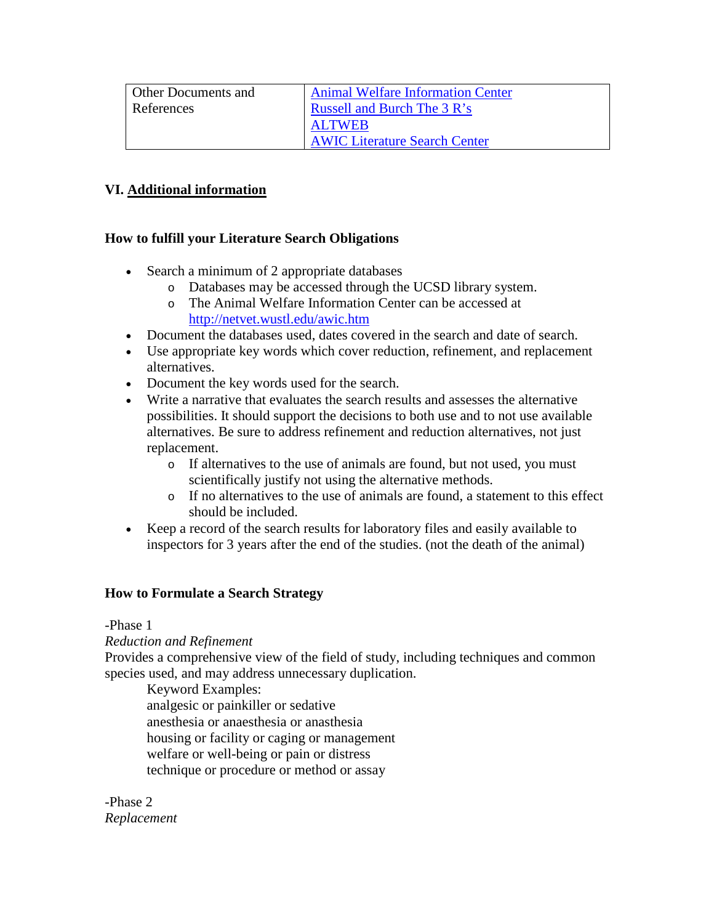| <b>Other Documents and</b> | <b>Animal Welfare Information Center</b> |
|----------------------------|------------------------------------------|
| References                 | <b>Russell and Burch The 3 R's</b>       |
|                            | <b>ALTWEB</b>                            |
|                            | <b>AWIC Literature Search Center</b>     |

## **VI. Additional information**

### **How to fulfill your Literature Search Obligations**

- Search a minimum of 2 appropriate databases
	- o Databases may be accessed through the UCSD library system.
	- o The Animal Welfare Information Center can be accessed at <http://netvet.wustl.edu/awic.htm>
- Document the databases used, dates covered in the search and date of search.
- Use appropriate key words which cover reduction, refinement, and replacement alternatives.
- Document the key words used for the search.
- Write a narrative that evaluates the search results and assesses the alternative possibilities. It should support the decisions to both use and to not use available alternatives. Be sure to address refinement and reduction alternatives, not just replacement.
	- o If alternatives to the use of animals are found, but not used, you must scientifically justify not using the alternative methods.
	- o If no alternatives to the use of animals are found, a statement to this effect should be included.
- Keep a record of the search results for laboratory files and easily available to inspectors for 3 years after the end of the studies. (not the death of the animal)

## **How to Formulate a Search Strategy**

-Phase 1

#### *Reduction and Refinement*

Provides a comprehensive view of the field of study, including techniques and common species used, and may address unnecessary duplication.

Keyword Examples:

analgesic or painkiller or sedative anesthesia or anaesthesia or anasthesia housing or facility or caging or management welfare or well-being or pain or distress technique or procedure or method or assay

-Phase 2 *Replacement*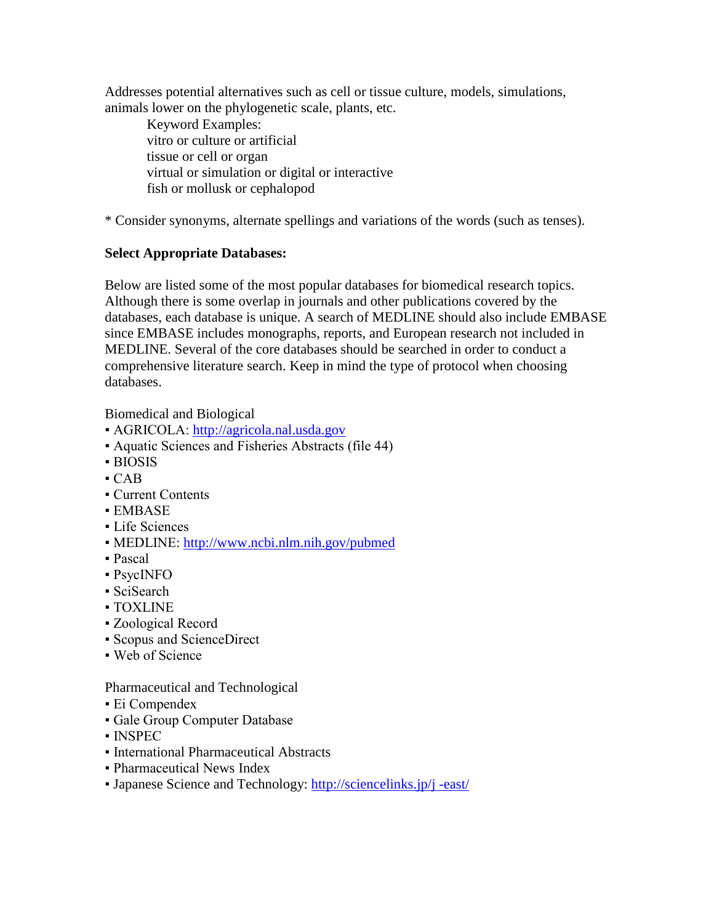Addresses potential alternatives such as cell or tissue culture, models, simulations, animals lower on the phylogenetic scale, plants, etc.

Keyword Examples: vitro or culture or artificial tissue or cell or organ virtual or simulation or digital or interactive fish or mollusk or cephalopod

\* Consider synonyms, alternate spellings and variations of the words (such as tenses).

## **Select Appropriate Databases:**

Below are listed some of the most popular databases for biomedical research topics. Although there is some overlap in journals and other publications covered by the databases, each database is unique. A search of MEDLINE should also include EMBASE since EMBASE includes monographs, reports, and European research not included in MEDLINE. Several of the core databases should be searched in order to conduct a comprehensive literature search. Keep in mind the type of protocol when choosing databases.

Biomedical and Biological

- AGRICOLA: [http://agricola.nal.usda.gov](http://agricola.nal.usda.gov/)
- Aquatic Sciences and Fisheries Abstracts (file 44)
- BIOSIS
- $-CAR$
- Current Contents
- EMBASE
- **Life Sciences**
- MEDLINE: <http://www.ncbi.nlm.nih.gov/pubmed>
- Pascal
- PsycINFO
- SciSearch
- TOXLINE
- Zoological Record
- Scopus and ScienceDirect
- Web of Science

Pharmaceutical and Technological

- $\blacksquare$  Ei Compendex
- Gale Group Computer Database
- INSPEC
- International Pharmaceutical Abstracts
- Pharmaceutical News Index
- Japanese Science and Technology: [http://sciencelinks.jp/j -east/](http://sciencelinks.jp/j%20-east/)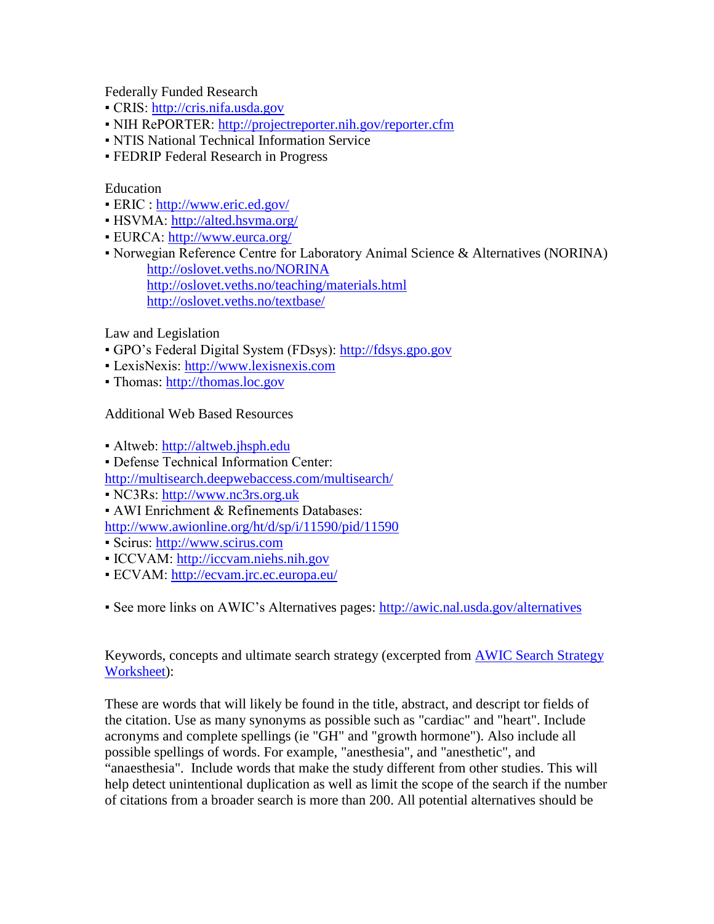Federally Funded Research

- CRIS: [http://cris.nifa.usda.gov](http://cris.nifa.usda.gov/)
- NIH RePORTER: <http://projectreporter.nih.gov/reporter.cfm>
- NTIS National Technical Information Service
- **FEDRIP Federal Research in Progress**

## Education

- ERIC : <http://www.eric.ed.gov/>
- HSVMA: <http://alted.hsvma.org/>
- EURCA: <http://www.eurca.org/>
- Norwegian Reference Centre for Laboratory Animal Science & Alternatives (NORINA) <http://oslovet.veths.no/NORINA> <http://oslovet.veths.no/teaching/materials.html> <http://oslovet.veths.no/textbase/>

Law and Legislation

- GPO's Federal Digital System (FDsys): [http://fdsys.gpo.gov](http://fdsys.gpo.gov/)
- LexisNexis: [http://www.lexisnexis.com](http://www.lexisnexis.com/)
- Thomas: [http://thomas.loc.gov](http://thomas.loc.gov/)

Additional Web Based Resources

• Altweb: [http://altweb.jhsph.edu](http://altweb.jhsph.edu/)

- Defense Technical Information Center:
- <http://multisearch.deepwebaccess.com/multisearch/>
- NC3Rs: [http://www.nc3rs.org.uk](http://www.nc3rs.org.uk/)
- AWI Enrichment & Refinements Databases:

<http://www.awionline.org/ht/d/sp/i/11590/pid/11590>

- Scirus: [http://www.scirus.com](http://www.scirus.com/)
- ICCVAM: [http://iccvam.niehs.nih.gov](http://iccvam.niehs.nih.gov/)
- ECVAM: <http://ecvam.jrc.ec.europa.eu/>

▪ See more links on AWIC's Alternatives pages: <http://awic.nal.usda.gov/alternatives>

Keywords, concepts and ultimate search strategy (excerpted from AWIC Search Strategy Worksheet):

These are words that will likely be found in the title, abstract, and descript tor fields of the citation. Use as many synonyms as possible such as "cardiac" and "heart". Include acronyms and complete spellings (ie "GH" and "growth hormone"). Also include all possible spellings of words. For example, "anesthesia", and "anesthetic", and "anaesthesia". Include words that make the study different from other studies. This will help detect unintentional duplication as well as limit the scope of the search if the number of citations from a broader search is more than 200. All potential alternatives should be